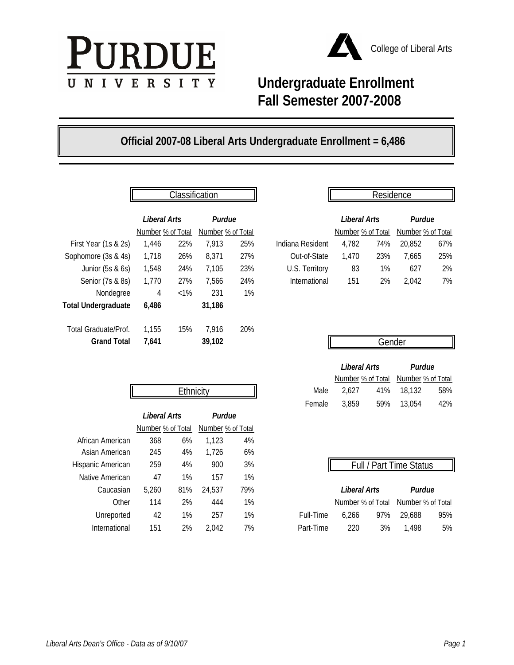



## **Undergraduate Enrollment Fall Semester 2007-2008**

## **Official 2007-08 Liberal Arts Undergraduate Enrollment = 6,486**

|                            |                                   | Classification |                             |     |                  |                                   | Residence |                             |     |
|----------------------------|-----------------------------------|----------------|-----------------------------|-----|------------------|-----------------------------------|-----------|-----------------------------|-----|
|                            | Liberal Arts<br>Number % of Total |                | Purdue<br>Number % of Total |     |                  | Liberal Arts<br>Number % of Total |           | Purdue<br>Number % of Total |     |
| First Year (1s & 2s)       | 1,446                             | 22%            | 7,913                       | 25% | Indiana Resident | 4,782                             | 74%       | 20,852                      | 67% |
| Sophomore (3s & 4s)        | 1,718                             | 26%            | 8,371                       | 27% | Out-of-State     | 1,470                             | 23%       | 7,665                       | 25% |
| Junior (5s & 6s)           | 1,548                             | 24%            | 7,105                       | 23% | U.S. Territory   | 83                                | 1%        | 627                         | 2%  |
| Senior (7s & 8s)           | 1,770                             | 27%            | 7,566                       | 24% | International    | 151                               | 2%        | 2,042                       | 7%  |
| Nondegree                  | 4                                 | $< 1\%$        | 231                         | 1%  |                  |                                   |           |                             |     |
| <b>Total Undergraduate</b> | 6,486                             |                | 31,186                      |     |                  |                                   |           |                             |     |
| Total Graduate/Prof.       | 1,155                             | 15%            | 7,916                       | 20% |                  |                                   |           |                             |     |
| <b>Grand Total</b>         | 7,641                             |                | 39,102                      |     |                  |                                   | Gender    |                             |     |

|                   | ыабынсанын |                   |     |                  |                   | RESIGETICE |                   |     |
|-------------------|------------|-------------------|-----|------------------|-------------------|------------|-------------------|-----|
| Liberal Arts      |            | Purdue            |     |                  | Liberal Arts      |            | Purdue            |     |
| Number % of Total |            | Number % of Total |     |                  | Number % of Total |            | Number % of Total |     |
| 1.446             | 22%        | 7.913             | 25% | Indiana Resident | 4.782             | 74%        | 20.852            | 67% |
| 1,718             | 26%        | 8.371             | 27% | Out-of-State     | 1.470             | 23%        | 7.665             | 25% |
| 1,548             | 24%        | 7,105             | 23% | U.S. Territory   | 83                | $1\%$      | 627               | 2%  |
| 1.770             | 27%        | 7.566             | 24% | International    | 151               | 2%         | 2.042             | 7%  |
|                   |            |                   |     |                  |                   |            |                   |     |

| Gender       |        |
|--------------|--------|
|              |        |
| Liberal Arts | Purdue |

Number % of Total Number % of Total

|                   |                   | Ethnicity |                   |     | Male      | 2,627               | 41% | 18,132                  | 58% |
|-------------------|-------------------|-----------|-------------------|-----|-----------|---------------------|-----|-------------------------|-----|
|                   |                   |           |                   |     | Female    | 3,859               | 59% | 13,054                  | 42% |
|                   | Liberal Arts      |           | Purdue            |     |           |                     |     |                         |     |
|                   | Number % of Total |           | Number % of Total |     |           |                     |     |                         |     |
| African American  | 368               | 6%        | 1,123             | 4%  |           |                     |     |                         |     |
| Asian American    | 245               | 4%        | 1,726             | 6%  |           |                     |     |                         |     |
| Hispanic American | 259               | 4%        | 900               | 3%  |           |                     |     | Full / Part Time Status |     |
| Native American   | 47                | 1%        | 157               | 1%  |           |                     |     |                         |     |
| Caucasian         | 5,260             | 81%       | 24.537            | 79% |           | <b>Liberal Arts</b> |     | Purdue                  |     |
| Other             | 114               | 2%        | 444               | 1%  |           | Number % of Total   |     | Number % of Total       |     |
| Unreported        | 42                | 1%        | 257               | 1%  | Full-Time | 6,266               | 97% | 29,688                  | 95% |
| International     | 151               | 2%        | 2,042             | 7%  | Part-Time | 220                 | 3%  | 1,498                   | 5%  |

| Ethnicity             |  | Male 2,627 41% 18,132 58%   |  |
|-----------------------|--|-----------------------------|--|
|                       |  | Female 3.859 59% 13.054 42% |  |
| Purdue<br>$\varsigma$ |  |                             |  |
| <del>.</del>          |  |                             |  |

|  |  | Full / Part Time Status |
|--|--|-------------------------|
|  |  |                         |

| asian: | 5.260        | 81% 24.537 | 79% |                        |                            | Liberal Arts Purdue                 |     |
|--------|--------------|------------|-----|------------------------|----------------------------|-------------------------------------|-----|
|        | Other 114 2% | - 444      | 1%  |                        |                            | Number % of Total Number % of Total |     |
| oorted | 42 1% 257    |            | 1%  |                        | Full-Time 6,266 97% 29,688 |                                     | 95% |
| tional | 151 2% 2.042 |            | 7%  | Part-Time 220 3% 1.498 |                            |                                     | 5%  |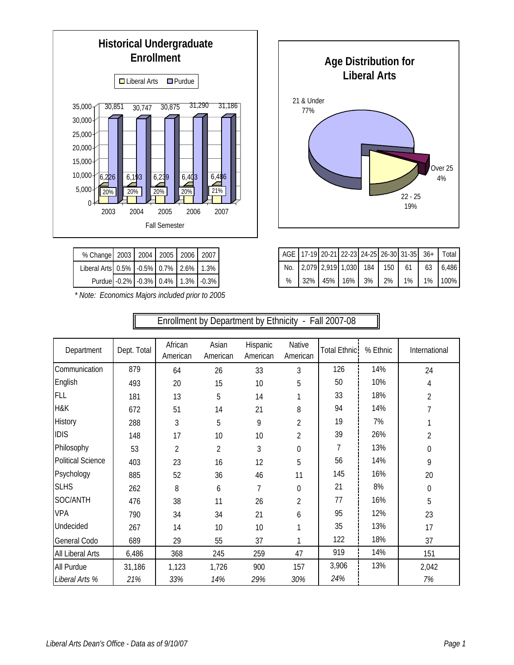

| % Change 2003 2004 2005 2006 2007      |  |  |  |
|----------------------------------------|--|--|--|
| Liberal Arts 0.5% -0.5% 0.7% 2.6% 1.3% |  |  |  |
| Purdue -0.2% -0.3% 0.4% 1.3% -0.3%     |  |  |  |

*\* Note: Economics Majors included prior to 2005*

 $\mathbb{F}$ 



|                          |             | Enrollment by Department by Ethnicity - Fall 2007-08 |                   |                      |                    |                      |          |                  |
|--------------------------|-------------|------------------------------------------------------|-------------------|----------------------|--------------------|----------------------|----------|------------------|
|                          |             |                                                      |                   |                      |                    |                      |          |                  |
| Department               | Dept. Total | African<br>American                                  | Asian<br>American | Hispanic<br>American | Native<br>American | <b>Total Ethnic:</b> | % Ethnic | International    |
| Communication            | 879         | 64                                                   | 26                | 33                   | 3                  | 126                  | 14%      | 24               |
| English                  | 493         | 20                                                   | 15                | 10                   | 5                  | 50                   | 10%      | 4                |
| <b>FLL</b>               | 181         | 13                                                   | 5                 | 14                   |                    | 33                   | 18%      | $\overline{2}$   |
| H&K                      | 672         | 51                                                   | 14                | 21                   | 8                  | 94                   | 14%      | 7                |
| History                  | 288         | 3                                                    | 5                 | 9                    | 2                  | 19                   | 7%       |                  |
| <b>IDIS</b>              | 148         | 17                                                   | 10                | 10                   | 2                  | 39                   | 26%      | $\overline{2}$   |
| Philosophy               | 53          | $\overline{2}$                                       | $\overline{2}$    | 3                    | $\theta$           | 7                    | 13%      | 0                |
| <b>Political Science</b> | 403         | 23                                                   | 16                | 12                   | 5                  | 56                   | 14%      | 9                |
| Psychology               | 885         | 52                                                   | 36                | 46                   | 11                 | 145                  | 16%      | 20               |
| <b>SLHS</b>              | 262         | 8                                                    | 6                 | 7                    | $\mathbf 0$        | 21                   | 8%       | $\boldsymbol{0}$ |
| SOC/ANTH                 | 476         | 38                                                   | 11                | 26                   | $\overline{2}$     | 77                   | 16%      | 5                |
| <b>VPA</b>               | 790         | 34                                                   | 34                | 21                   | 6                  | 95                   | 12%      | 23               |
| Undecided                | 267         | 14                                                   | 10                | 10                   | 1                  | 35                   | 13%      | 17               |
| General Codo             | 689         | 29                                                   | 55                | 37                   | 1                  | 122                  | 18%      | 37               |
| All Liberal Arts         | 6,486       | 368                                                  | 245               | 259                  | 47                 | 919                  | 14%      | 151              |
| All Purdue               | 31,186      | 1,123                                                | 1,726             | 900                  | 157                | 3,906                | 13%      | 2,042            |
| Liberal Arts %           | 21%         | 33%                                                  | 14%               | 29%                  | 30%                | 24%                  |          | 7%               |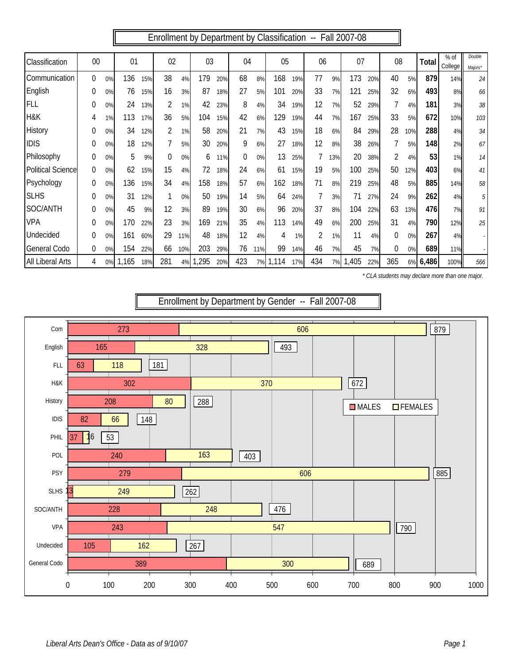Enrollment by Department by Classification -- Fall 2007-08

| Classification           | 00               |    | 01    |     | 02       |     | 03   |     | 04       |     | 05    |     | 06             |     | 07   |     | 08  |     | Total | $%$ of<br>College | Double<br>Maiors* |
|--------------------------|------------------|----|-------|-----|----------|-----|------|-----|----------|-----|-------|-----|----------------|-----|------|-----|-----|-----|-------|-------------------|-------------------|
| Communication            | $\Omega$         | 0% | 136   | 15% | 38       | 4%  | 179  | 20% | 68       | 8%  | 168   | 19% | 77             | 9%  | 173  | 20% | 40  | 5%  | 879   | 14%               | 24                |
| English                  | $\overline{0}$   | 0% | 76    | 15% | 16       | 3%  | 87   | 18% | 27       | 5%  | 101   | 20% | 33             | 7%  | 121  | 25% | 32  | 6%  | 493   | 8%                | 66                |
| FLL                      | 0                | 0% | 24    | 13% | 2        | 1%  | 42   | 23% | 8        | 4%  | 34    | 19% | 12             | 7%  | 52   | 29% | 7   | 4%  | 181   | 3%                | 38                |
| H&K                      | 4                | 1% | 113   | 17% | 36       | 5%  | 104  | 15% | 42       | 6%  | 129   | 19% | 44             | 7%  | 167  | 25% | 33  | 5%  | 672   | 10%               | 103               |
| <b>History</b>           | $\boldsymbol{0}$ | 0% | 34    | 12% |          | 1%  | 58   | 20% | 21       | 7%  | 43    | 15% | 18             | 6%  | 84   | 29% | 28  | 10% | 288   | 4%                | $34\,$            |
| <b>IDIS</b>              | $\boldsymbol{0}$ | 0% | 18    | 12% |          | 5%  | 30   | 20% | 9        | 6%  | 27    | 18% | 12             | 8%  | 38   | 26% |     | 5%  | 148   | 2%                | 67                |
| Philosophy               | $\boldsymbol{0}$ | 0% | 5     | 9%  | $\theta$ | 0%  | 6    | 11% | $\theta$ | 0%  | 13    | 25% |                | 13% | 20   | 38% | 2   | 4%  | 53    | 1%                | 14                |
| <b>Political Science</b> | 0                | 0% | 62    | 15% | 15       | 4%  | 72   | 18% | 24       | 6%  | 61    | 15% | 19             | 5%  | 100  | 25% | 50  | 12% | 403   | 6%                | 41                |
| Psychology               | 0                | 0% | 136   | 15% | 34       | 4%  | 158  | 18% | 57       | 6%  | 162   | 18% | 71             | 8%  | 219  | 25% | 48  | 5%  | 885   | 14%               | 58                |
| <b>SLHS</b>              | $\boldsymbol{0}$ | 0% | 31    | 12% |          | 0%  | 50   | 19% | 14       | 5%  | 64    | 24% |                | 3%  | 71   | 27% | 24  | 9%  | 262   | 4%                | 5                 |
| SOC/ANTH                 | $\boldsymbol{0}$ | 0% | 45    | 9%  | 12       | 3%  | 89   | 19% | 30       | 6%  | 96    | 20% | 37             | 8%  | 104  | 22% | 63  | 13% | 476   | 7%                | 91                |
| <b>VPA</b>               | $\theta$         | 0% | 170   | 22% | 23       | 3%  | 169  | 21% | 35       | 4%  | 113   | 14% | 49             | 6%  | 200  | 25% | 31  | 4%  | 790   | 12%               | 25                |
| Undecided                | $\theta$         | 0% | 161   | 60% | 29       | 11% | 48   | 18% | 12       | 4%  | 4     | 1%  | $\overline{2}$ | 1%  | 11   | 4%  | 0   | 0%  | 267   | 4%                |                   |
| <b>General Codo</b>      | $\Omega$         | 0% | 154   | 22% | 66       | 10% | 203  | 29% | 76       | 11% | 99    | 14% | 46             | 7%  | 45   | 7%  | 0   | 0%  | 689   | 11%               |                   |
| <b>All Liberal Arts</b>  | 4                | 0% | 1,165 | 18% | 281      | 4%  | ,295 | 20% | 423      | 7%  | 1,114 | 17% | 434            | 7%  | ,405 | 22% | 365 | 6%  | 6,486 | 100%              | 566               |

*\* CLA students may declare more than one major.*



*Liberal Arts Dean's Office - Data as of 9/10/07 Page 1*